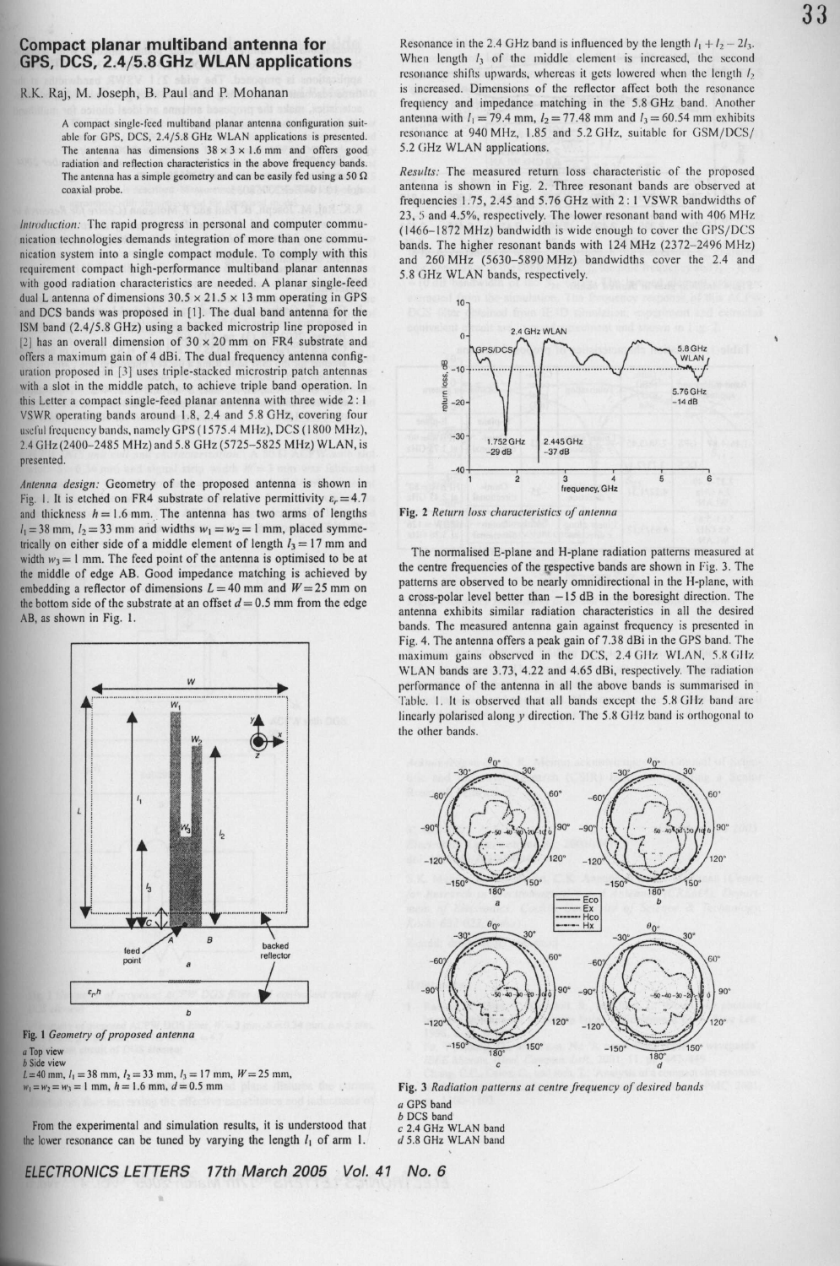## **Compact planar multiband antenna for GPS, DCS**, **2.4/5.8 GHz WLAN applications**

R.K. Raj, M. Joseph, B. Paul and P. Mohanan

**A compact single**- **iced muttiband planar antenna configuration suit**able for GPS, DCS. 2.4/5.8 GHz WLAN **applications is presented. The antenna has dimensions** 38 x 3 x 1.**6 mm and offers good radiation and reflection characteristics in the above frequency bands.** The antenna has a simple geometry and can be easily fed using a 50  $\Omega$ **coaxial probe.**

*Introduction:* The rapid progress in personal and computer communication technologies demands integration of more than one communication system into a single compact module. To comply with this requirement compact high-performance multiband planar antennas with good radiation characteristics are needed. A planar single-feed dual L antenna of dimensions  $30.5 \times 21.5 \times 13$  mm operating in GPS and DCS bands was proposed in [1]. The dual band antenna for the ISM band (2.4/5.8 GHz) using a backed microstrip line proposed in [2] has an overall dimension of  $30 \times 20$  mm on FR4 substrate and offers a maximum gain of 4 dBi. The dual frequency antenna configuration proposed in [3] uses triple-stacked microstrip patch antennas with a slot in the middle patch, to achieve triple band operation. In this Letter a compact single-feed planar antenna with three wide 2 : I VSWR operating bands around 1.8, 2.4 and 5.8 GHz, covering four useful frequency bands, namely GPS (1575.4 MHz), DCS (1800 MHz), 2.4 Gllz(2400-2485 MHz) and 5.8 GHz (5725-5825 MHz) WLAN, is presented.

*Antenna design:* Geometry of the proposed antenna is shown in Fig. 1. It is etched on FR4 substrate of relative permittivity  $\varepsilon_r = 4.7$ and thickness  $h = 1.6$  mm. The antenna has two arms of lengths  $I_1 = 38$  mm,  $I_2 = 33$  mm and widths  $w_1 = w_2 = 1$  mm, placed symmetrically on either side of a middle element of length  $l_3 = 17$  mm and width  $w_3 = 1$  mm. The feed point of the antenna is optimised to be at the middle of edge AB. Good impedance matching is achieved by embedding a reflector of dimensions  $L = 40$  mm and  $W = 25$  mm on the bottom side of the substrate at an offset  $d = 0.5$  mm from the edge AB, as shown in Fig. 1.

> W **No,** ............. W,  $\frac{1}{2}$ **c** is the d a control of the control of the control of the control of the control of the control of the control of the control of the control of the control of the control of the control of the control of the control of t

Fig. I *Geometry of proposed antenna*

## a Top view b Side view

 $L=40$  mm,  $l_1 = 38$  mm,  $l_2 = 33$  mm,  $l_3 = 17$  mm,  $W= 25$  mm,  $w_1 = w_2 = w_3 = 1$  mm,  $h = 1.6$  mm,  $d = 0.5$  mm

From the experimental and simulation results, it is understood that the lower resonance can be tuned by varying the length  $l_1$  of arm 1.

ELECTRONICS LETTERS 17th March 2005 Vol. 41 No. 6

*Results:* The measured return loss characteristic of the proposed **antenna is** shown in Fig. 2. Three resonant bands are observed at frequencies 1.75, 2.45 and 5.76 GHz with 2: I VSWR bandwidths of 23, 5 and 4.5%, respectively. The lower resonant band with 406 MHz (1466-1872 MHz) bandwidth is wide enough to cover the GPS/DCS bands. The higher **resonant** bands with 124 MHz (2372-2496 MFIz) and 260 MHz (5630-5890 MHz) bandwidths cover the 2.4 and 5.8 GHz WLAN bands, respectively.





5.2 (iHz WLAN applications.

The normalised **E-plane and H-plane radiation patterns measured at the centre frequencies of the respective bands are shown in** Fig. 3. The **patterns are observed to be nearly omnidirectional in the H-plane, with a cross-polar level better than -15 dB in the boresight** direction. The **antenna exhibits similar radiation characteristics in all the desired bands**. **The measured antenna gain against frequency is presented in Fig. 4. The antenna offers a peak** gain of 7. **38 dBi in the** GPS band. The maximum gains observed in the DCS, 2.4 GHz WLAN, 5.8 GHz. WLAN bands **are 3** .73, 4.22 and **4.65 dBi** , respectively**. The radiation performance of the antenna in all the above bands is summarised in** Table. 1. It is observed that all bands except the 5.8 GHz band are linearly polarised along y direction. The 5.8 GHz band is orthogonal to **the other bands.**



**Fig. 3 Radiation** *patterns at centre frequency of desired bands* **a GPS band** b DCS band

- 
- c 2.4 GHz WLAN band<br>d 5.8 GHz WLAN band